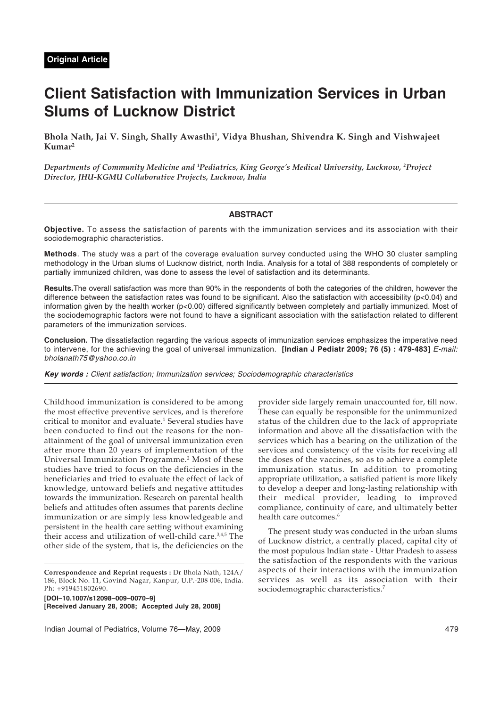# **Client Satisfaction with Immunization Services in Urban Slums of Lucknow District**

**Bhola Nath, Jai V. Singh, Shally Awasthi1 , Vidya Bhushan, Shivendra K. Singh and Vishwajeet Kumar2**

*Departments of Community Medicine and 1 Pediatrics, King George's Medical University, Lucknow, 2 Project Director, JHU-KGMU Collaborative Projects, Lucknow, India*

## **ABSTRACT**

**Objective.** To assess the satisfaction of parents with the immunization services and its association with their sociodemographic characteristics.

**Methods**. The study was a part of the coverage evaluation survey conducted using the WHO 30 cluster sampling methodology in the Urban slums of Lucknow district, north India. Analysis for a total of 388 respondents of completely or partially immunized children, was done to assess the level of satisfaction and its determinants.

**Results.**The overall satisfaction was more than 90% in the respondents of both the categories of the children, however the difference between the satisfaction rates was found to be significant. Also the satisfaction with accessibility (p<0.04) and information given by the health worker (p<0.00) differed significantly between completely and partially immunized. Most of the sociodemographic factors were not found to have a significant association with the satisfaction related to different parameters of the immunization services.

**Conclusion.** The dissatisfaction regarding the various aspects of immunization services emphasizes the imperative need to intervene, for the achieving the goal of universal immunization. **[Indian J Pediatr 2009; 76 (5) : 479-483]** E-mail: bholanath75@yahoo.co.in

**Key words :** Client satisfaction; Immunization services; Sociodemographic characteristics

Childhood immunization is considered to be among the most effective preventive services, and is therefore critical to monitor and evaluate.<sup>1</sup> Several studies have been conducted to find out the reasons for the nonattainment of the goal of universal immunization even after more than 20 years of implementation of the Universal Immunization Programme.2 Most of these studies have tried to focus on the deficiencies in the beneficiaries and tried to evaluate the effect of lack of knowledge, untoward beliefs and negative attitudes towards the immunization. Research on parental health beliefs and attitudes often assumes that parents decline immunization or are simply less knowledgeable and persistent in the health care setting without examining their access and utilization of well-child care.<sup>3,4,5</sup> The other side of the system, that is, the deficiencies on the

**[DOI–10.1007/s12098–009–0070–9]**

**[Received January 28, 2008; Accepted July 28, 2008]**

Indian Journal of Pediatrics, Volume 76—May, 2009 479

provider side largely remain unaccounted for, till now. These can equally be responsible for the unimmunized status of the children due to the lack of appropriate information and above all the dissatisfaction with the services which has a bearing on the utilization of the services and consistency of the visits for receiving all the doses of the vaccines, so as to achieve a complete immunization status. In addition to promoting appropriate utilization, a satisfied patient is more likely to develop a deeper and long-lasting relationship with their medical provider, leading to improved compliance, continuity of care, and ultimately better health care outcomes.<sup>6</sup>

The present study was conducted in the urban slums of Lucknow district, a centrally placed, capital city of the most populous Indian state - Uttar Pradesh to assess the satisfaction of the respondents with the various aspects of their interactions with the immunization services as well as its association with their sociodemographic characteristics.<sup>7</sup>

**Correspondence and Reprint requests :** Dr Bhola Nath, 124A/ 186, Block No. 11, Govind Nagar, Kanpur, U.P.-208 006, India. Ph: +919451802690.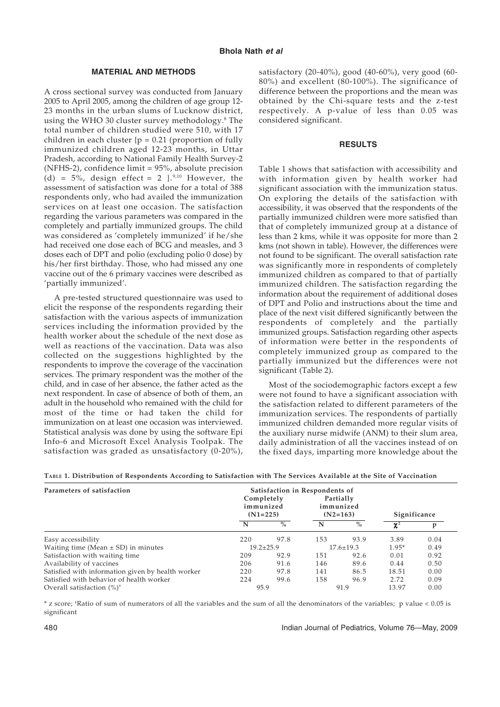## **MATERIAL AND METHODS**

A cross sectional survey was conducted from January 2005 to April 2005, among the children of age group 12- 23 months in the urban slums of Lucknow district, using the WHO 30 cluster survey methodology.<sup>8</sup> The total number of children studied were 510, with 17 children in each cluster  ${p = 0.21}$  (proportion of fully immunized children aged 12-23 months, in Uttar Pradesh, according to National Family Health Survey-2 (NFHS-2), confidence limit = 95%, absolute precision (d) =  $5\%$ , design effect = 2 }.<sup>9,10</sup> However, the assessment of satisfaction was done for a total of 388 respondents only, who had availed the immunization services on at least one occasion. The satisfaction regarding the various parameters was compared in the completely and partially immunized groups. The child was considered as 'completely immunized' if he/she had received one dose each of BCG and measles, and 3 doses each of DPT and polio (excluding polio 0 dose) by his/her first birthday. Those, who had missed any one vaccine out of the 6 primary vaccines were described as 'partially immunized'.

A pre-tested structured questionnaire was used to elicit the response of the respondents regarding their satisfaction with the various aspects of immunization services including the information provided by the health worker about the schedule of the next dose as well as reactions of the vaccination. Data was also collected on the suggestions highlighted by the respondents to improve the coverage of the vaccination services. The primary respondent was the mother of the child, and in case of her absence, the father acted as the next respondent. In case of absence of both of them, an adult in the household who remained with the child for most of the time or had taken the child for immunization on at least one occasion was interviewed. Statistical analysis was done by using the software Epi Info-6 and Microsoft Excel Analysis Toolpak. The satisfaction was graded as unsatisfactory (0-20%), satisfactory (20-40%), good (40-60%), very good (60- 80%) and excellent (80-100%). The significance of difference between the proportions and the mean was obtained by the Chi-square tests and the z-test respectively. A p-value of less than 0.05 was considered significant.

#### **RESULTS**

Table 1 shows that satisfaction with accessibility and with information given by health worker had significant association with the immunization status. On exploring the details of the satisfaction with accessibility, it was observed that the respondents of the partially immunized children were more satisfied than that of completely immunized group at a distance of less than 2 kms, while it was opposite for more than 2 kms (not shown in table). However, the differences were not found to be significant. The overall satisfaction rate was significantly more in respondents of completely immunized children as compared to that of partially immunized children. The satisfaction regarding the information about the requirement of additional doses of DPT and Polio and instructions about the time and place of the next visit differed significantly between the respondents of completely and the partially immunized groups. Satisfaction regarding other aspects of information were better in the respondents of completely immunized group as compared to the partially immunized but the differences were not significant (Table 2).

Most of the sociodemographic factors except a few were not found to have a significant association with the satisfaction related to different parameters of the immunization services. The respondents of partially immunized children demanded more regular visits of the auxiliary nurse midwife (ANM) to their slum area, daily administration of all the vaccines instead of on the fixed days, imparting more knowledge about the

| Parameters of satisfaction                        | Satisfaction in Respondents of        |      |                                      |      |              |      |
|---------------------------------------------------|---------------------------------------|------|--------------------------------------|------|--------------|------|
|                                                   | Completely<br>immunized<br>$(N1=225)$ |      | Partially<br>immunized<br>$(N2=163)$ |      | Significance |      |
|                                                   | N                                     | $\%$ | N                                    | $\%$ | $\chi^2$     |      |
| Easy accessibility                                | 220                                   | 97.8 | 153                                  | 93.9 | 3.89         | 0.04 |
| Waiting time (Mean $\pm$ SD) in minutes           | $19.2 \pm 25.9$                       |      | $17.6 \pm 19.3$                      |      | $1.95*$      | 0.49 |
| Satisfaction with waiting time                    | 209                                   | 92.9 | 151                                  | 92.6 | 0.01         | 0.92 |
| Availability of vaccines                          | 206                                   | 91.6 | 146                                  | 89.6 | 0.44         | 0.50 |
| Satisfied with information given by health worker | 220                                   | 97.8 | 141                                  | 86.5 | 18.51        | 0.00 |
| Satisfied with behavior of health worker          | 224                                   | 99.6 | 158                                  | 96.9 | 2.72         | 0.09 |
| Overall satisfaction $(\%)^{\dagger}$             | 95.9                                  |      | 91.9                                 |      | 13.97        | 0.00 |

**TABLE 1. Distribution of Respondents According to Satisfaction with The Services Available at the Site of Vaccination**

\* z score; † Ratio of sum of numerators of all the variables and the sum of all the denominators of the variables; p value < 0.05 is significant

480 Indian Journal of Pediatrics, Volume 76—May, 2009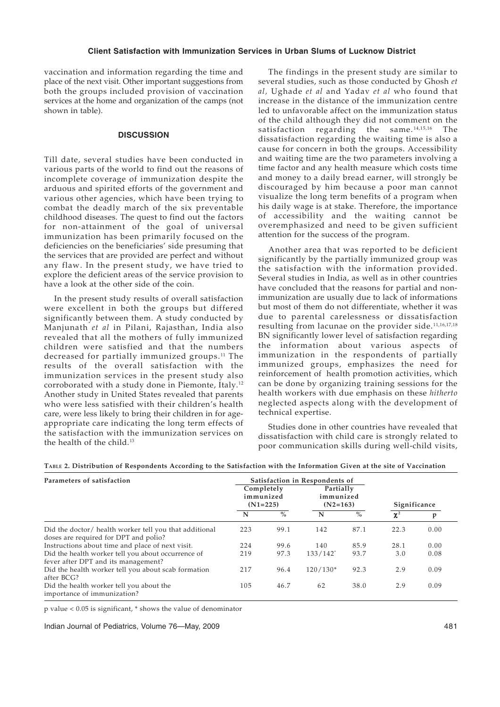## **Client Satisfaction with Immunization Services in Urban Slums of Lucknow District**

vaccination and information regarding the time and place of the next visit. Other important suggestions from both the groups included provision of vaccination services at the home and organization of the camps (not shown in table).

## **DISCUSSION**

Till date, several studies have been conducted in various parts of the world to find out the reasons of incomplete coverage of immunization despite the arduous and spirited efforts of the government and various other agencies, which have been trying to combat the deadly march of the six preventable childhood diseases. The quest to find out the factors for non-attainment of the goal of universal immunization has been primarily focused on the deficiencies on the beneficiaries' side presuming that the services that are provided are perfect and without any flaw. In the present study, we have tried to explore the deficient areas of the service provision to have a look at the other side of the coin.

In the present study results of overall satisfaction were excellent in both the groups but differed significantly between them. A study conducted by Manjunath *et al* in Pilani, Rajasthan, India also revealed that all the mothers of fully immunized children were satisfied and that the numbers decreased for partially immunized groups.<sup>11</sup> The results of the overall satisfaction with the immunization services in the present study also corroborated with a study done in Piemonte, Italy.12 Another study in United States revealed that parents who were less satisfied with their children's health care, were less likely to bring their children in for ageappropriate care indicating the long term effects of the satisfaction with the immunization services on the health of the child.13

The findings in the present study are similar to several studies, such as those conducted by Ghosh *et al,* Ughade *et al* and Yadav *et al* who found that increase in the distance of the immunization centre led to unfavorable affect on the immunization status of the child although they did not comment on the satisfaction regarding the same.<sup>14,15,16</sup> The dissatisfaction regarding the waiting time is also a cause for concern in both the groups. Accessibility and waiting time are the two parameters involving a time factor and any health measure which costs time and money to a daily bread earner, will strongly be discouraged by him because a poor man cannot visualize the long term benefits of a program when his daily wage is at stake. Therefore, the importance of accessibility and the waiting cannot be overemphasized and need to be given sufficient attention for the success of the program.

Another area that was reported to be deficient significantly by the partially immunized group was the satisfaction with the information provided. Several studies in India, as well as in other countries have concluded that the reasons for partial and nonimmunization are usually due to lack of informations but most of them do not differentiate, whether it was due to parental carelessness or dissatisfaction resulting from lacunae on the provider side.<sup>11,16,17,18</sup> BN significantly lower level of satisfaction regarding the information about various aspects of immunization in the respondents of partially immunized groups, emphasizes the need for reinforcement of health promotion activities, which can be done by organizing training sessions for the health workers with due emphasis on these *hitherto* neglected aspects along with the development of technical expertise.

Studies done in other countries have revealed that dissatisfaction with child care is strongly related to poor communication skills during well-child visits,

| Parameters of satisfaction                                                                      | Satisfaction in Respondents of        |      |                                      |      |              |      |
|-------------------------------------------------------------------------------------------------|---------------------------------------|------|--------------------------------------|------|--------------|------|
|                                                                                                 | Completely<br>immunized<br>$(N1=225)$ |      | Partially<br>immunized<br>$(N2=163)$ |      | Significance |      |
|                                                                                                 | N                                     | $\%$ | N                                    | $\%$ | $\chi^2$     | p    |
| Did the doctor/ health worker tell you that additional<br>doses are required for DPT and polio? | 223                                   | 99.1 | 142                                  | 87.1 | 22.3         | 0.00 |
| Instructions about time and place of next visit.                                                | 224                                   | 99.6 | 140                                  | 85.9 | 28.1         | 0.00 |
| Did the health worker tell you about occurrence of<br>fever after DPT and its management?       | 219                                   | 97.3 | $133/142^*$                          | 93.7 | 3.0          | 0.08 |
| Did the health worker tell you about scab formation<br>after BCG?                               | 217                                   | 96.4 | $120/130*$                           | 92.3 | 2.9          | 0.09 |
| Did the health worker tell you about the<br>importance of immunization?                         | 105                                   | 46.7 | 62                                   | 38.0 | 2.9          | 0.09 |

p value < 0.05 is significant, \* shows the value of denominator

Indian Journal of Pediatrics, Volume 76—May, 2009 481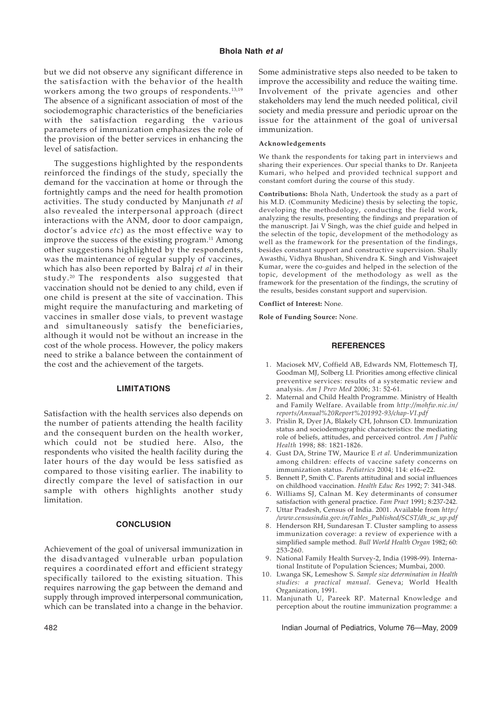## **Bhola Nath et al**

but we did not observe any significant difference in the satisfaction with the behavior of the health workers among the two groups of respondents.<sup>13,19</sup> The absence of a significant association of most of the sociodemographic characteristics of the beneficiaries with the satisfaction regarding the various parameters of immunization emphasizes the role of the provision of the better services in enhancing the level of satisfaction.

The suggestions highlighted by the respondents reinforced the findings of the study, specially the demand for the vaccination at home or through the fortnightly camps and the need for health promotion activities. The study conducted by Manjunath *et al* also revealed the interpersonal approach (direct interactions with the ANM, door to door campaign, doctor's advice *etc*) as the most effective way to improve the success of the existing program. $^{11}$  Among other suggestions highlighted by the respondents, was the maintenance of regular supply of vaccines, which has also been reported by Balraj *et al* in their study. 20 The respondents also suggested that vaccination should not be denied to any child, even if one child is present at the site of vaccination. This might require the manufacturing and marketing of vaccines in smaller dose vials, to prevent wastage and simultaneously satisfy the beneficiaries, although it would not be without an increase in the cost of the whole process. However, the policy makers need to strike a balance between the containment of the cost and the achievement of the targets.

### **LIMITATIONS**

Satisfaction with the health services also depends on the number of patients attending the health facility and the consequent burden on the health worker, which could not be studied here. Also, the respondents who visited the health facility during the later hours of the day would be less satisfied as compared to those visiting earlier. The inability to directly compare the level of satisfaction in our sample with others highlights another study limitation.

#### **CONCLUSION**

Achievement of the goal of universal immunization in the disadvantaged vulnerable urban population requires a coordinated effort and efficient strategy specifically tailored to the existing situation. This requires narrowing the gap between the demand and supply through improved interpersonal communication, which can be translated into a change in the behavior. Some administrative steps also needed to be taken to improve the accessibility and reduce the waiting time. Involvement of the private agencies and other stakeholders may lend the much needed political, civil society and media pressure and periodic uproar on the issue for the attainment of the goal of universal immunization.

#### **Acknowledgements**

We thank the respondents for taking part in interviews and sharing their experiences. Our special thanks to Dr. Ranjeeta Kumari, who helped and provided technical support and constant comfort during the course of this study.

**Contributions:** Bhola Nath, Undertook the study as a part of his M.D. (Community Medicine) thesis by selecting the topic, developing the methodology, conducting the field work, analyzing the results, presenting the findings and preparation of the manuscript. Jai V Singh, was the chief guide and helped in the selectin of the topic, development of the methodology as well as the framework for the presentation of the findings, besides constant support and constructive supervision. Shally Awasthi, Vidhya Bhushan, Shivendra K. Singh and Vishwajeet Kumar, were the co-guides and helped in the selection of the topic, development of the methodology as well as the framework for the presentation of the findings, the scrutiny of the results, besides constant support and supervision.

**Conflict of Interest:** None.

**Role of Funding Source:** None.

#### **REFERENCES**

- 1. Maciosek MV, Coffield AB, Edwards NM, Flottemesch TJ, Goodman MJ, Solberg LI. Priorities among effective clinical preventive services: results of a systematic review and analysis. *Am J Prev Med* 2006; 31: 52-61.
- 2. Maternal and Child Health Programme. Ministry of Health and Family Welfare. Available from *http://mohfw.nic.in/ reports/Annual%20Report%201992-93/chap-VI.pdf*
- 3. Prislin R, Dyer JA, Blakely CH, Johnson CD. Immunization status and sociodemographic characteristics: the mediating role of beliefs, attitudes, and perceived control. *Am J Public Health* 1998; 88: 1821-1826.
- 4. Gust DA, Strine TW, Maurice E *et al.* Underimmunization among children: effects of vaccine safety concerns on immunization status. *Pediatrics* 2004; 114: e16-e22.
- 5. Bennett P, Smith C. Parents attitudinal and social influences on childhood vaccination. *Health Educ Res* 1992; 7: 341-348.
- 6. Williams SJ, Calnan M. Key determinants of consumer satisfaction with general practice. *Fam Pract* 1991; 8:237-242.
- 7. Uttar Pradesh, Census of India. 2001. Available from *http:/ /www.censusindia.gov.in/Tables\_Published/SCST/dh\_sc\_up.pdf*
- 8. Henderson RH, Sundaresan T. Cluster sampling to assess immunization coverage: a review of experience with a simplified sample method. *Bull World Health Organ* 1982; 60: 253-260.
- 9. National Family Health Survey-2, India (1998-99). International Institute of Population Sciences; Mumbai, 2000.
- 10. Lwanga SK, Lemeshow S. *Sample size determination in Health studies: a practical manual.* Geneva; World Health Organization, 1991.
- 11. Manjunath U, Pareek RP. Maternal Knowledge and perception about the routine immunization programme: a

482 Indian Journal of Pediatrics, Volume 76—May, 2009